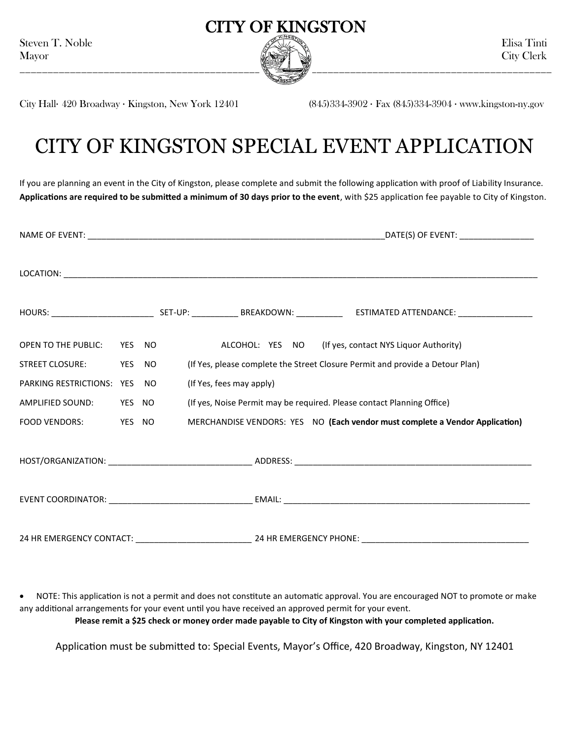

City Hall· 420 Broadway · Kingston, New York 12401 (845)334-3902 · Fax (845)334-3904 · www.kingston-ny.gov

# CITY OF KINGSTON SPECIAL EVENT APPLICATION

If you are planning an event in the City of Kingston, please complete and submit the following application with proof of Liability Insurance. **Applications are required to be submitted a minimum of 30 days prior to the event**, with \$25 application fee payable to City of Kingston.

|                                |        |  |                          | _DATE(S) OF EVENT: _____________________                                      |
|--------------------------------|--------|--|--------------------------|-------------------------------------------------------------------------------|
|                                |        |  |                          |                                                                               |
|                                |        |  |                          |                                                                               |
| OPEN TO THE PUBLIC:            | YES NO |  |                          | ALCOHOL: YES NO (If yes, contact NYS Liquor Authority)                        |
| STREET CLOSURE: YES NO         |        |  |                          | (If Yes, please complete the Street Closure Permit and provide a Detour Plan) |
| PARKING RESTRICTIONS: YES NO   |        |  | (If Yes, fees may apply) |                                                                               |
| AMPLIFIED SOUND: YES NO        |        |  |                          | (If yes, Noise Permit may be required. Please contact Planning Office)        |
| <b>FOOD VENDORS:</b><br>YES NO |        |  |                          | MERCHANDISE VENDORS: YES NO (Each vendor must complete a Vendor Application)  |
|                                |        |  |                          |                                                                               |
|                                |        |  |                          |                                                                               |
|                                |        |  |                          |                                                                               |

 NOTE: This application is not a permit and does not constitute an automatic approval. You are encouraged NOT to promote or make any additional arrangements for your event until you have received an approved permit for your event. **Please remit a \$25 check or money order made payable to City of Kingston with your completed application.**

Application must be submitted to: Special Events, Mayor's Office, 420 Broadway, Kingston, NY 12401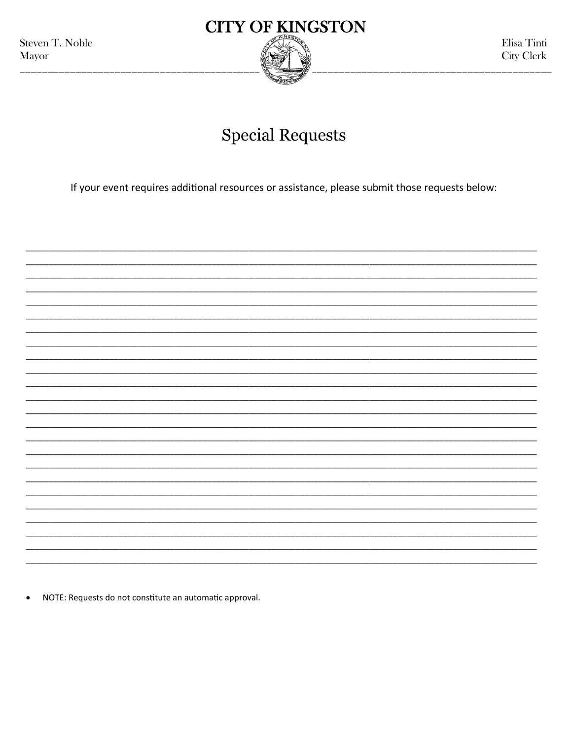Steven T. Noble Mayor



Elisa Tinti **City Clerk** 

## **Special Requests**

If your event requires additional resources or assistance, please submit those requests below:

NOTE: Requests do not constitute an automatic approval.  $\bullet$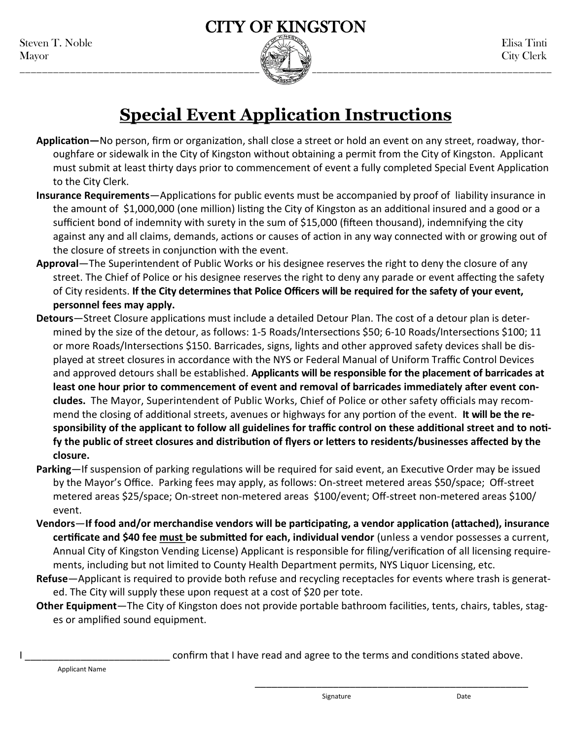

### **Special Event Application Instructions**

- **Application—**No person, firm or organization, shall close a street or hold an event on any street, roadway, thoroughfare or sidewalk in the City of Kingston without obtaining a permit from the City of Kingston. Applicant must submit at least thirty days prior to commencement of event a fully completed Special Event Application to the City Clerk.
- **Insurance Requirements**—Applications for public events must be accompanied by proof of liability insurance in the amount of \$1,000,000 (one million) listing the City of Kingston as an additional insured and a good or a sufficient bond of indemnity with surety in the sum of \$15,000 (fifteen thousand), indemnifying the city against any and all claims, demands, actions or causes of action in any way connected with or growing out of the closure of streets in conjunction with the event.
- **Approval**—The Superintendent of Public Works or his designee reserves the right to deny the closure of any street. The Chief of Police or his designee reserves the right to deny any parade or event affecting the safety of City residents. **If the City determines that Police Officers will be required for the safety of your event, personnel fees may apply.**
- **Detours**—Street Closure applications must include a detailed Detour Plan. The cost of a detour plan is determined by the size of the detour, as follows: 1-5 Roads/Intersections \$50; 6-10 Roads/Intersections \$100; 11 or more Roads/Intersections \$150. Barricades, signs, lights and other approved safety devices shall be displayed at street closures in accordance with the NYS or Federal Manual of Uniform Traffic Control Devices and approved detours shall be established. **Applicants will be responsible for the placement of barricades at least one hour prior to commencement of event and removal of barricades immediately after event concludes.** The Mayor, Superintendent of Public Works, Chief of Police or other safety officials may recommend the closing of additional streets, avenues or highways for any portion of the event. **It will be the responsibility of the applicant to follow all guidelines for traffic control on these additional street and to notify the public of street closures and distribution of flyers or letters to residents/businesses affected by the closure.**
- **Parking**—If suspension of parking regulations will be required for said event, an Executive Order may be issued by the Mayor's Office. Parking fees may apply, as follows: On-street metered areas \$50/space; Off-street metered areas \$25/space; On-street non-metered areas \$100/event; Off-street non-metered areas \$100/ event.
- **Vendors**—**If food and/or merchandise vendors will be participating, a vendor application (attached), insurance certificate and \$40 fee must be submitted for each, individual vendor** (unless a vendor possesses a current, Annual City of Kingston Vending License) Applicant is responsible for filing/verification of all licensing requirements, including but not limited to County Health Department permits, NYS Liquor Licensing, etc.
- **Refuse**—Applicant is required to provide both refuse and recycling receptacles for events where trash is generated. The City will supply these upon request at a cost of \$20 per tote.
- **Other Equipment**—The City of Kingston does not provide portable bathroom facilities, tents, chairs, tables, stages or amplified sound equipment.

confirm that I have read and agree to the terms and conditions stated above.

\_\_\_\_\_\_\_\_\_\_\_\_\_\_\_\_\_\_\_\_\_\_\_\_\_\_\_\_\_\_\_\_\_\_\_\_\_\_\_\_\_\_\_\_\_\_\_\_\_

Applicant Name

Signature Date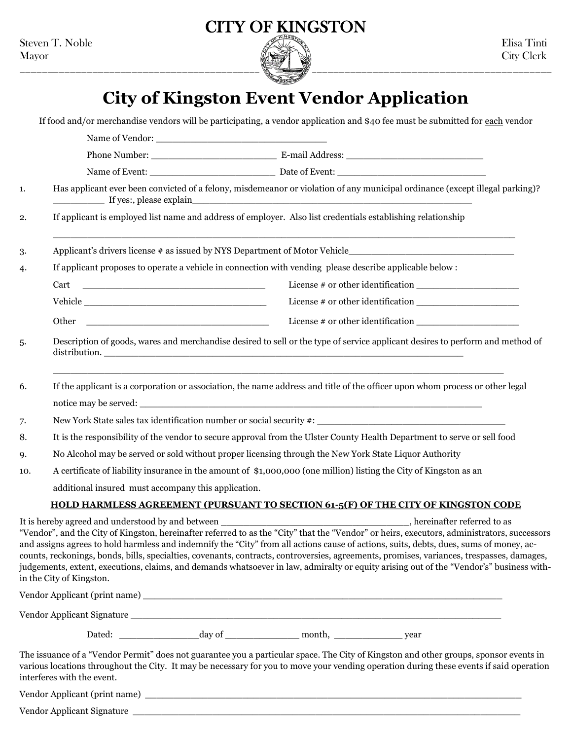

## **City of Kingston Event Vendor Application**

|     | If food and/or merchandise vendors will be participating, a vendor application and \$40 fee must be submitted for each vendor                                                                                                                                                                                                                                                                                                                                                                                                                                                                             |  |  |
|-----|-----------------------------------------------------------------------------------------------------------------------------------------------------------------------------------------------------------------------------------------------------------------------------------------------------------------------------------------------------------------------------------------------------------------------------------------------------------------------------------------------------------------------------------------------------------------------------------------------------------|--|--|
|     |                                                                                                                                                                                                                                                                                                                                                                                                                                                                                                                                                                                                           |  |  |
|     |                                                                                                                                                                                                                                                                                                                                                                                                                                                                                                                                                                                                           |  |  |
|     |                                                                                                                                                                                                                                                                                                                                                                                                                                                                                                                                                                                                           |  |  |
| 1.  | Has applicant ever been convicted of a felony, misdemeanor or violation of any municipal ordinance (except illegal parking)?<br>If yes:, please explain                                                                                                                                                                                                                                                                                                                                                                                                                                                   |  |  |
| 2.  | If applicant is employed list name and address of employer. Also list credentials establishing relationship                                                                                                                                                                                                                                                                                                                                                                                                                                                                                               |  |  |
| 3.  |                                                                                                                                                                                                                                                                                                                                                                                                                                                                                                                                                                                                           |  |  |
| 4.  | If applicant proposes to operate a vehicle in connection with vending please describe applicable below :                                                                                                                                                                                                                                                                                                                                                                                                                                                                                                  |  |  |
|     |                                                                                                                                                                                                                                                                                                                                                                                                                                                                                                                                                                                                           |  |  |
|     |                                                                                                                                                                                                                                                                                                                                                                                                                                                                                                                                                                                                           |  |  |
|     | <u> 1989 - Johann Harry Harry Harry Harry Harry Harry Harry Harry Harry Harry Harry Harry Harry Harry Harry Harry</u><br>Other                                                                                                                                                                                                                                                                                                                                                                                                                                                                            |  |  |
| 5.  | Description of goods, wares and merchandise desired to sell or the type of service applicant desires to perform and method of                                                                                                                                                                                                                                                                                                                                                                                                                                                                             |  |  |
| 6.  | If the applicant is a corporation or association, the name address and title of the officer upon whom process or other legal                                                                                                                                                                                                                                                                                                                                                                                                                                                                              |  |  |
|     |                                                                                                                                                                                                                                                                                                                                                                                                                                                                                                                                                                                                           |  |  |
| 7.  |                                                                                                                                                                                                                                                                                                                                                                                                                                                                                                                                                                                                           |  |  |
| 8.  | It is the responsibility of the vendor to secure approval from the Ulster County Health Department to serve or sell food                                                                                                                                                                                                                                                                                                                                                                                                                                                                                  |  |  |
| 9.  | No Alcohol may be served or sold without proper licensing through the New York State Liquor Authority                                                                                                                                                                                                                                                                                                                                                                                                                                                                                                     |  |  |
| 10. | A certificate of liability insurance in the amount of \$1,000,000 (one million) listing the City of Kingston as an                                                                                                                                                                                                                                                                                                                                                                                                                                                                                        |  |  |
|     | additional insured must accompany this application.                                                                                                                                                                                                                                                                                                                                                                                                                                                                                                                                                       |  |  |
|     | HOLD HARMLESS AGREEMENT (PURSUANT TO SECTION 61-5(F) OF THE CITY OF KINGSTON CODE                                                                                                                                                                                                                                                                                                                                                                                                                                                                                                                         |  |  |
|     | "Vendor", and the City of Kingston, hereinafter referred to as the "City" that the "Vendor" or heirs, executors, administrators, successors<br>and assigns agrees to hold harmless and indemnify the "City" from all actions cause of actions, suits, debts, dues, sums of money, ac-<br>counts, reckonings, bonds, bills, specialties, covenants, contracts, controversies, agreements, promises, variances, trespasses, damages,<br>judgements, extent, executions, claims, and demands whatsoever in law, admiralty or equity arising out of the "Vendor's" business with-<br>in the City of Kingston. |  |  |
|     |                                                                                                                                                                                                                                                                                                                                                                                                                                                                                                                                                                                                           |  |  |
|     |                                                                                                                                                                                                                                                                                                                                                                                                                                                                                                                                                                                                           |  |  |
|     |                                                                                                                                                                                                                                                                                                                                                                                                                                                                                                                                                                                                           |  |  |
|     | The issuance of a "Vendor Permit" does not guarantee you a particular space. The City of Kingston and other groups, sponsor events in<br>various locations throughout the City. It may be necessary for you to move your vending operation during these events if said operation<br>interferes with the event.                                                                                                                                                                                                                                                                                            |  |  |
|     |                                                                                                                                                                                                                                                                                                                                                                                                                                                                                                                                                                                                           |  |  |
|     |                                                                                                                                                                                                                                                                                                                                                                                                                                                                                                                                                                                                           |  |  |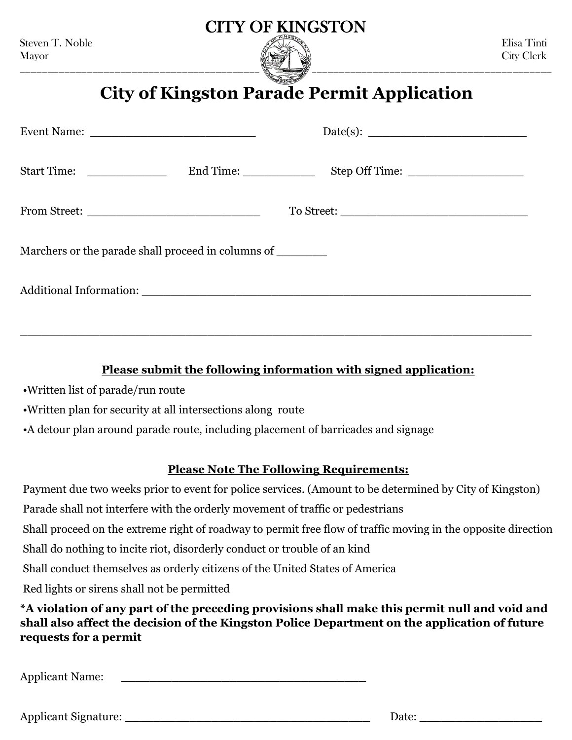

### **City of Kingston Parade Permit Application**

| Start Time: ________________                                 |  |  |
|--------------------------------------------------------------|--|--|
|                                                              |  |  |
| Marchers or the parade shall proceed in columns of _________ |  |  |
|                                                              |  |  |

### **Please submit the following information with signed application:**

\_\_\_\_\_\_\_\_\_\_\_\_\_\_\_\_\_\_\_\_\_\_\_\_\_\_\_\_\_\_\_\_\_\_\_\_\_\_\_\_\_\_\_\_\_\_\_\_\_\_\_\_\_\_\_\_\_\_\_\_\_\_\_\_\_\_\_\_\_\_\_

- •Written list of parade/run route
- •Written plan for security at all intersections along route
- •A detour plan around parade route, including placement of barricades and signage

#### **Please Note The Following Requirements:**

Payment due two weeks prior to event for police services. (Amount to be determined by City of Kingston) Parade shall not interfere with the orderly movement of traffic or pedestrians Shall proceed on the extreme right of roadway to permit free flow of traffic moving in the opposite direction Shall do nothing to incite riot, disorderly conduct or trouble of an kind Shall conduct themselves as orderly citizens of the United States of America Red lights or sirens shall not be permitted **\*A violation of any part of the preceding provisions shall make this permit null and void and** 

**shall also affect the decision of the Kingston Police Department on the application of future requests for a permit**

Applicant Name:

| Applicar<br>™ature.<br>שור<br>. . |  |
|-----------------------------------|--|
|-----------------------------------|--|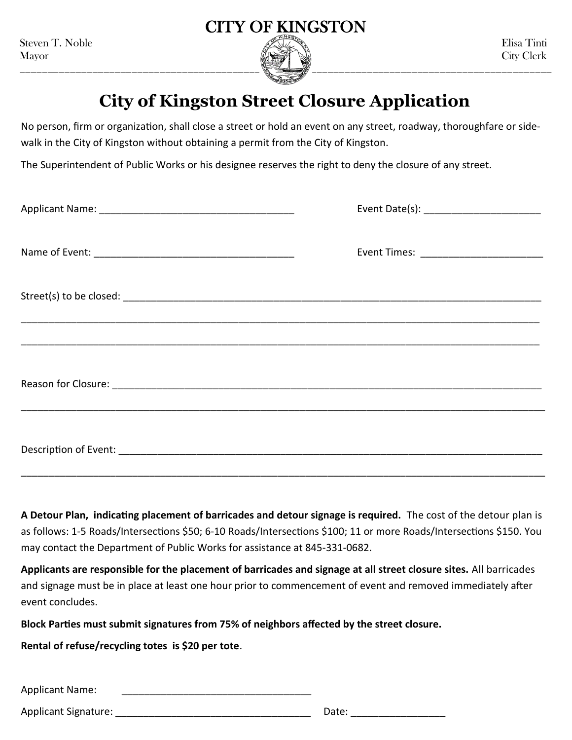

### **City of Kingston Street Closure Application**

No person, firm or organization, shall close a street or hold an event on any street, roadway, thoroughfare or sidewalk in the City of Kingston without obtaining a permit from the City of Kingston.

The Superintendent of Public Works or his designee reserves the right to deny the closure of any street.

**A Detour Plan, indicating placement of barricades and detour signage is required.** The cost of the detour plan is as follows: 1-5 Roads/Intersections \$50; 6-10 Roads/Intersections \$100; 11 or more Roads/Intersections \$150. You may contact the Department of Public Works for assistance at 845-331-0682.

**Applicants are responsible for the placement of barricades and signage at all street closure sites.** All barricades and signage must be in place at least one hour prior to commencement of event and removed immediately after event concludes.

**Block Parties must submit signatures from 75% of neighbors affected by the street closure.**

**Rental of refuse/recycling totes is \$20 per tote**.

Applicant Name:

Applicant Signature: \_\_\_\_\_\_\_\_\_\_\_\_\_\_\_\_\_\_\_\_\_\_\_\_\_\_\_\_\_\_\_\_\_\_\_ Date: \_\_\_\_\_\_\_\_\_\_\_\_\_\_\_\_\_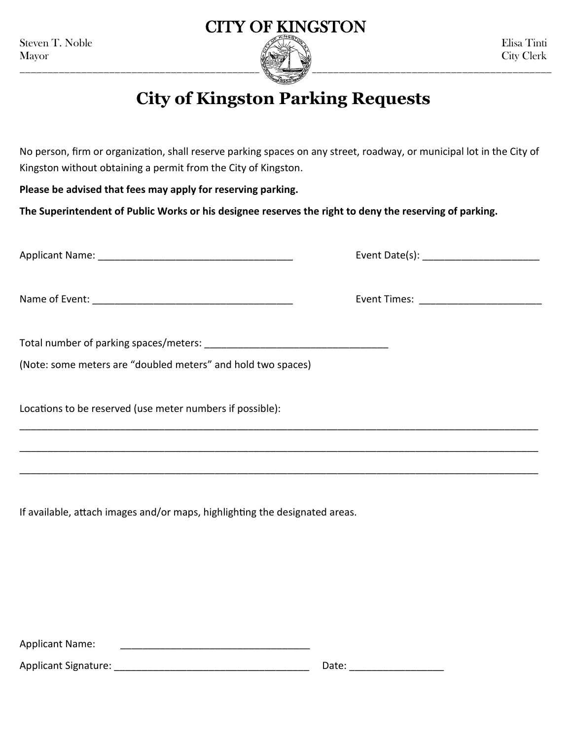

### **City of Kingston Parking Requests**

No person, firm or organization, shall reserve parking spaces on any street, roadway, or municipal lot in the City of Kingston without obtaining a permit from the City of Kingston.

\_\_\_\_\_\_\_\_\_\_\_\_\_\_\_\_\_\_\_\_\_\_\_\_\_\_\_\_\_\_\_\_\_\_\_\_\_\_\_\_\_\_\_\_\_\_\_\_\_\_\_\_\_\_\_\_\_\_\_\_\_\_\_\_\_\_\_\_\_\_\_\_\_\_\_\_\_\_\_\_\_\_\_\_\_\_\_\_\_\_\_\_\_

\_\_\_\_\_\_\_\_\_\_\_\_\_\_\_\_\_\_\_\_\_\_\_\_\_\_\_\_\_\_\_\_\_\_\_\_\_\_\_\_\_\_\_\_\_\_\_\_\_\_\_\_\_\_\_\_\_\_\_\_\_\_\_\_\_\_\_\_\_\_\_\_\_\_\_\_\_\_\_\_\_\_\_\_\_\_\_\_\_\_\_\_\_

\_\_\_\_\_\_\_\_\_\_\_\_\_\_\_\_\_\_\_\_\_\_\_\_\_\_\_\_\_\_\_\_\_\_\_\_\_\_\_\_\_\_\_\_\_\_\_\_\_\_\_\_\_\_\_\_\_\_\_\_\_\_\_\_\_\_\_\_\_\_\_\_\_\_\_\_\_\_\_\_\_\_\_\_\_\_\_\_\_\_\_\_\_

**Please be advised that fees may apply for reserving parking.**

**The Superintendent of Public Works or his designee reserves the right to deny the reserving of parking.**

Applicant Name: \_\_\_\_\_\_\_\_\_\_\_\_\_\_\_\_\_\_\_\_\_\_\_\_\_\_\_\_\_\_\_\_\_\_\_ Event Date(s): \_\_\_\_\_\_\_\_\_\_\_\_\_\_\_\_\_\_\_\_\_

Name of Event: \_\_\_\_\_\_\_\_\_\_\_\_\_\_\_\_\_\_\_\_\_\_\_\_\_\_\_\_\_\_\_\_\_\_\_\_ Event Times: \_\_\_\_\_\_\_\_\_\_\_\_\_\_\_\_\_\_\_\_\_\_

| Total number of parking spaces/meters: |  |
|----------------------------------------|--|
|----------------------------------------|--|

(Note: some meters are "doubled meters" and hold two spaces)

Locations to be reserved (use meter numbers if possible):

If available, attach images and/or maps, highlighting the designated areas.

Applicant Name: \_\_\_\_\_\_\_\_\_\_\_\_\_\_\_\_\_\_\_\_\_\_\_\_\_\_\_\_\_\_\_\_\_\_

Applicant Signature: \_\_\_\_\_\_\_\_\_\_\_\_\_\_\_\_\_\_\_\_\_\_\_\_\_\_\_\_\_\_\_\_\_\_\_ Date: \_\_\_\_\_\_\_\_\_\_\_\_\_\_\_\_\_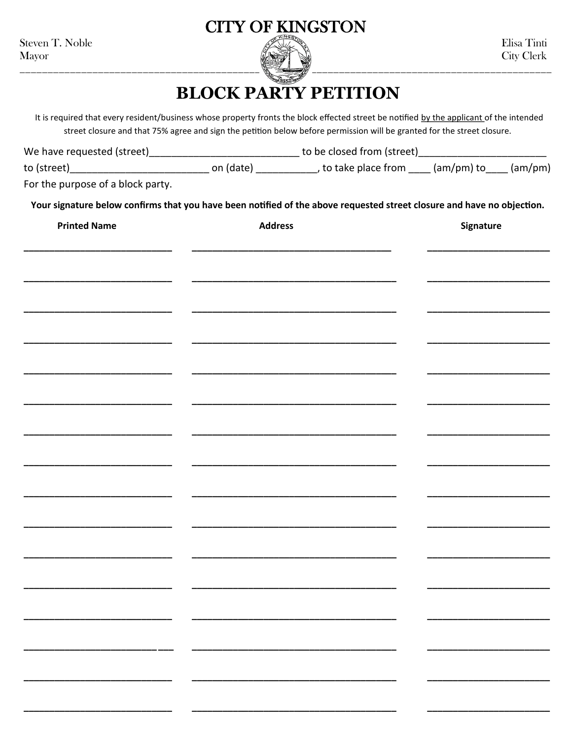Steven T. Noble Mayor



### **BLOCK PARTY PETITION**

It is required that every resident/business whose property fronts the block effected street be notified by the applicant of the intended street closure and that 75% agree and sign the petition below before permission will be granted for the street closure.

| We have requested (street) |           | to be closed from (street) |            |         |
|----------------------------|-----------|----------------------------|------------|---------|
| to (street)                | on (date) | , to take place from       | (am/pm) to | (am/pm) |

For the purpose of a block party.

Your signature below confirms that you have been notified of the above requested street closure and have no objection.

| <b>Printed Name</b> | <b>Address</b>           | Signature |
|---------------------|--------------------------|-----------|
|                     |                          |           |
|                     |                          |           |
|                     |                          |           |
|                     |                          |           |
|                     |                          |           |
|                     |                          |           |
|                     |                          |           |
|                     |                          |           |
|                     |                          |           |
|                     |                          |           |
|                     |                          |           |
|                     |                          |           |
|                     |                          |           |
| — ———               | $\overline{\phantom{a}}$ |           |
|                     | $\overline{\phantom{a}}$ |           |
|                     |                          |           |